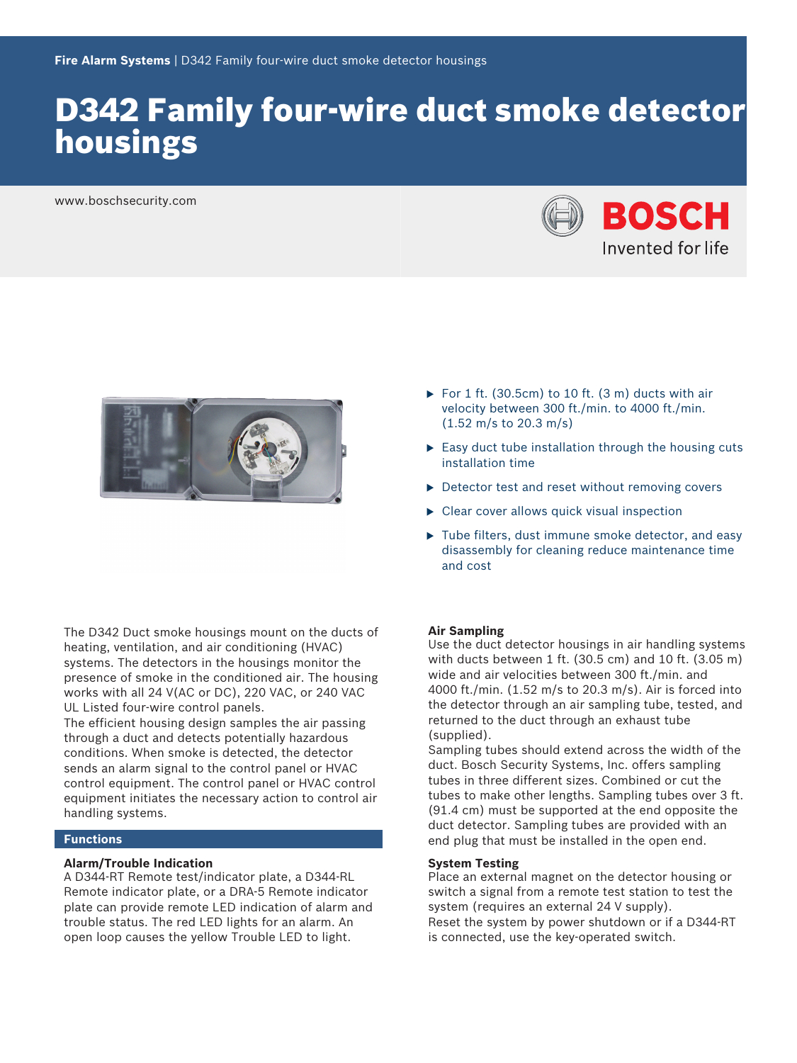# D342 Family four-wire duct smoke detector housings

www.boschsecurity.com





The D342 Duct smoke housings mount on the ducts of heating, ventilation, and air conditioning (HVAC) systems. The detectors in the housings monitor the presence of smoke in the conditioned air. The housing works with all 24 V(AC or DC), 220 VAC, or 240 VAC UL Listed four‑wire control panels.

The efficient housing design samples the air passing through a duct and detects potentially hazardous conditions. When smoke is detected, the detector sends an alarm signal to the control panel or HVAC control equipment. The control panel or HVAC control equipment initiates the necessary action to control air handling systems.

# **Functions**

### **Alarm/Trouble Indication**

A D344‑RT Remote test/indicator plate, a D344‑RL Remote indicator plate, or a DRA‑5 Remote indicator plate can provide remote LED indication of alarm and trouble status. The red LED lights for an alarm. An open loop causes the yellow Trouble LED to light.

- For 1 ft. (30.5cm) to 10 ft. (3 m) ducts with air velocity between 300 ft./min. to 4000 ft./min. (1.52 m/s to 20.3 m/s)
- $\triangleright$  Easy duct tube installation through the housing cuts installation time
- $\triangleright$  Detector test and reset without removing covers
- $\triangleright$  Clear cover allows quick visual inspection
- $\blacktriangleright$  Tube filters, dust immune smoke detector, and easy disassembly for cleaning reduce maintenance time and cost

### **Air Sampling**

Use the duct detector housings in air handling systems with ducts between 1 ft. (30.5 cm) and 10 ft. (3.05 m) wide and air velocities between 300 ft./min. and 4000 ft./min. (1.52 m/s to 20.3 m/s). Air is forced into the detector through an air sampling tube, tested, and returned to the duct through an exhaust tube (supplied).

Sampling tubes should extend across the width of the duct. Bosch Security Systems, Inc. offers sampling tubes in three different sizes. Combined or cut the tubes to make other lengths. Sampling tubes over 3 ft. (91.4 cm) must be supported at the end opposite the duct detector. Sampling tubes are provided with an end plug that must be installed in the open end.

#### **System Testing**

Place an external magnet on the detector housing or switch a signal from a remote test station to test the system (requires an external 24 V supply). Reset the system by power shutdown or if a D344‑RT is connected, use the key-operated switch.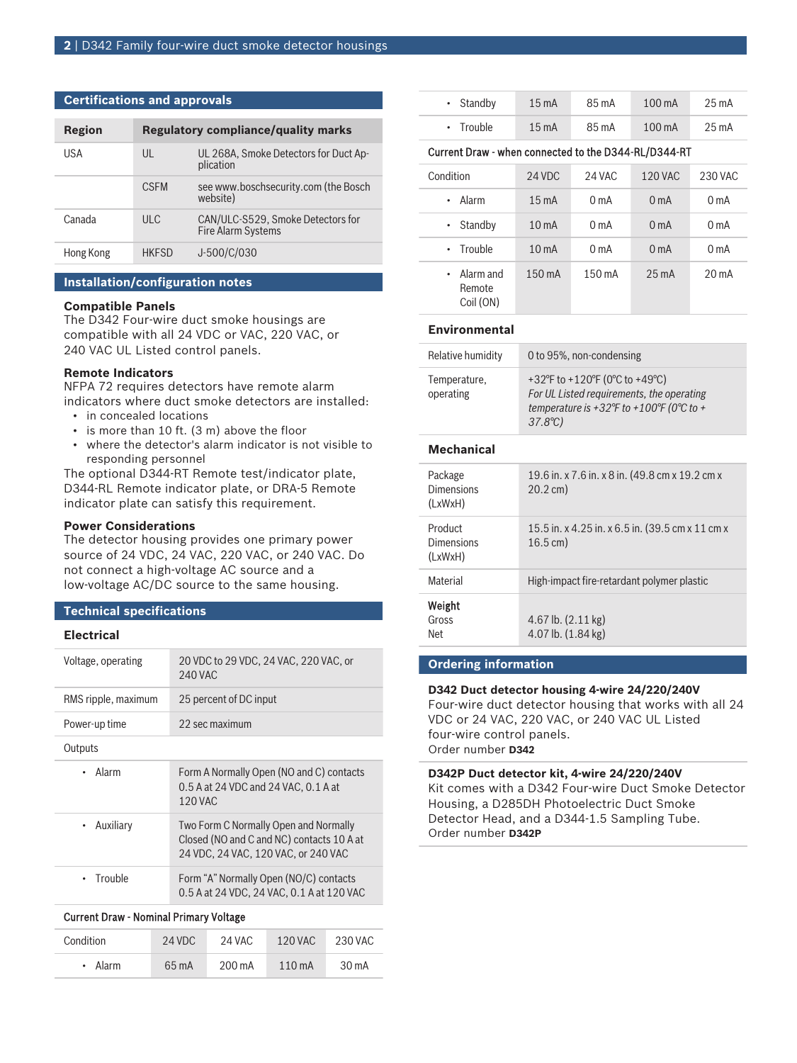# **Certifications and approvals**

| Region    |              | <b>Regulatory compliance/quality marks</b>              |
|-----------|--------------|---------------------------------------------------------|
| USA       | UL           | UL 268A, Smoke Detectors for Duct Ap-<br>plication      |
|           | <b>CSEM</b>  | see www.boschsecurity.com (the Bosch<br>website)        |
| Canada    | ULC          | CAN/ULC-S529, Smoke Detectors for<br>Fire Alarm Systems |
| Hong Kong | <b>HKFSD</b> | J-500/C/030                                             |

# **Installation/configuration notes**

#### **Compatible Panels**

The D342 Four-wire duct smoke housings are compatible with all 24 VDC or VAC, 220 VAC, or 240 VAC UL Listed control panels.

# **Remote Indicators**

NFPA 72 requires detectors have remote alarm indicators where duct smoke detectors are installed:

- in concealed locations
- is more than 10 ft. (3 m) above the floor
- where the detector's alarm indicator is not visible to responding personnel

The optional D344‑RT Remote test/indicator plate, D344‑RL Remote indicator plate, or DRA‑5 Remote indicator plate can satisfy this requirement.

### **Power Considerations**

The detector housing provides one primary power source of 24 VDC, 24 VAC, 220 VAC, or 240 VAC. Do not connect a high‑voltage AC source and a low-voltage AC/DC source to the same housing.

# **Technical specifications**

# **Electrical**

| Voltage, operating     | 20 VDC to 29 VDC, 24 VAC, 220 VAC, or<br><b>240 VAC</b>                                                                   |
|------------------------|---------------------------------------------------------------------------------------------------------------------------|
| RMS ripple, maximum    | 25 percent of DC input                                                                                                    |
| Power-up time          | 22 sec maximum                                                                                                            |
| Outputs                |                                                                                                                           |
| Alarm                  | Form A Normally Open (NO and C) contacts<br>0.5 A at 24 VDC and 24 VAC, 0.1 A at<br>120 VAC                               |
| Auxiliary<br>$\bullet$ | Two Form C Normally Open and Normally<br>Closed (NO and C and NC) contacts 10 A at<br>24 VDC, 24 VAC, 120 VAC, or 240 VAC |
| Trouble                | Form "A" Normally Open (NO/C) contacts<br>0.5 A at 24 VDC, 24 VAC, 0.1 A at 120 VAC                                       |
|                        |                                                                                                                           |

# Current Draw - Nominal Primary Voltage

| Condition | 24 VDC | 24 VAC | 120 VAC          | 230 VAC |
|-----------|--------|--------|------------------|---------|
| • Alarm   | 65 m A | 200 mA | $110 \text{ mA}$ | 30 mA   |

| $\cdot$ Standby | $15 \text{ mA}$ | 85 m A | $100 \text{ mA}$ | $25 \text{ mA}$ |
|-----------------|-----------------|--------|------------------|-----------------|
| $\cdot$ Trouble | $15 \text{ mA}$ | 85 m A | $100 \text{ mA}$ | 25 mA           |

#### Current Draw - when connected to the D344-RL/D344-RT

| Condition                                | 24 VDC            | 24 VAC           | <b>120 VAC</b>   | 230 VAC           |
|------------------------------------------|-------------------|------------------|------------------|-------------------|
| Alarm<br>٠                               | $15 \text{ mA}$   | 0 <sub>m</sub> A | 0 <sub>m</sub> A | 0 <sub>m</sub> A  |
| Standby<br>$\bullet$                     | 10 <sub>m</sub> A | 0 <sub>m</sub> A | 0 <sub>m</sub> A | 0 <sub>m</sub> A  |
| • Trouble                                | 10 <sub>m</sub> A | 0 <sub>m</sub> A | 0 <sub>m</sub> A | 0 <sub>m</sub> A  |
| $\cdot$ Alarm and<br>Remote<br>Coil (ON) | 150 mA            | 150 mA           | $25 \text{ mA}$  | 20 <sub>m</sub> A |

# **Environmental**

| Relative humidity         | 0 to 95%, non-condensing                                                                                                                   |
|---------------------------|--------------------------------------------------------------------------------------------------------------------------------------------|
| Temperature,<br>operating | +32°F to +120°F (0°C to +49°C)<br>For UL Listed requirements, the operating<br>temperature is +32°F to +100°F (0°C to +<br>$37.8^{\circ}C$ |

# **Mechanical**

| Package<br><b>Dimensions</b><br>(LxWxH) | 19.6 in. x 7.6 in. x 8 in. (49.8 cm x 19.2 cm x<br>$20.2 \text{ cm}$ )     |
|-----------------------------------------|----------------------------------------------------------------------------|
| Product<br>Dimensions<br>(LxWxH)        | 15.5 in. x 4.25 in. x 6.5 in. (39.5 cm x 11 cm x<br>$16.5 \,\mathrm{cm}$ ) |
| Material                                | High-impact fire-retardant polymer plastic                                 |
| Weight<br>Gross<br>Net                  | 4.67 lb. $(2.11 \text{ kg})$<br>4.07 lb. $(1.84 \text{ kg})$               |

# **Ordering information**

#### **D342 Duct detector housing 4-wire 24/220/240V**

Four-wire duct detector housing that works with all 24 VDC or 24 VAC, 220 VAC, or 240 VAC UL Listed four‑wire control panels. Order number **D342**

**D342P Duct detector kit, 4-wire 24/220/240V** Kit comes with a D342 Four-wire Duct Smoke Detector Housing, a D285DH Photoelectric Duct Smoke Detector Head, and a D344-1.5 Sampling Tube. Order number **D342P**